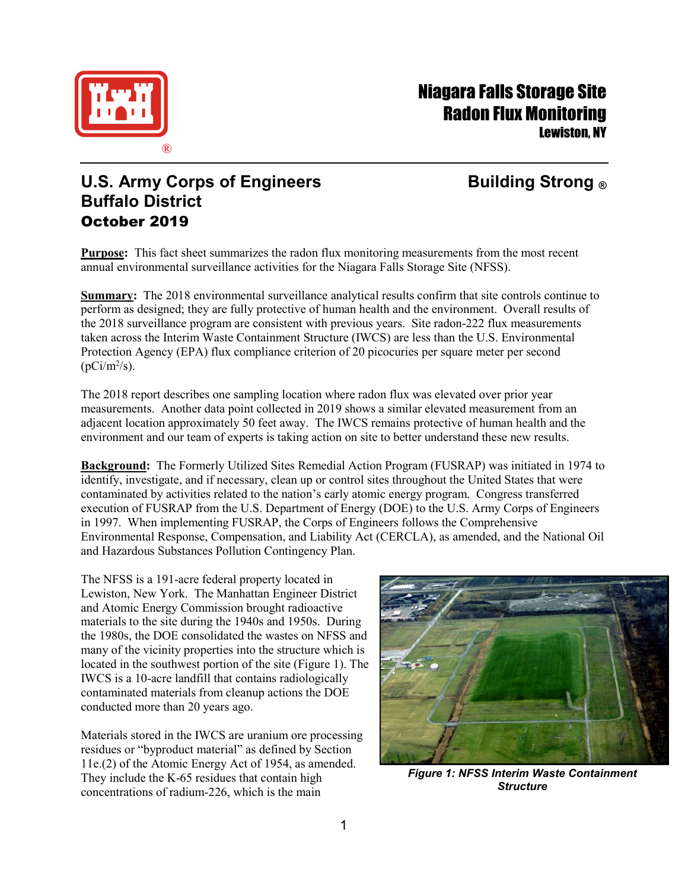

# Niagara Falls Storage Site Radon Flux Monitoring Lewiston, NY

## **U.S. Army Corps of Engineers Building Strong ® Buffalo District** October 2019

**Purpose:** This fact sheet summarizes the radon flux monitoring measurements from the most recent annual environmental surveillance activities for the Niagara Falls Storage Site (NFSS).

**Summary:** The 2018 environmental surveillance analytical results confirm that site controls continue to perform as designed; they are fully protective of human health and the environment. Overall results of the 2018 surveillance program are consistent with previous years. Site radon-222 flux measurements taken across the Interim Waste Containment Structure (IWCS) are less than the U.S. Environmental Protection Agency (EPA) flux compliance criterion of 20 picocuries per square meter per second  $(pCi/m^2/s)$ .

The 2018 report describes one sampling location where radon flux was elevated over prior year measurements. Another data point collected in 2019 shows a similar elevated measurement from an adjacent location approximately 50 feet away. The IWCS remains protective of human health and the environment and our team of experts is taking action on site to better understand these new results.

**Background:** The Formerly Utilized Sites Remedial Action Program (FUSRAP) was initiated in 1974 to identify, investigate, and if necessary, clean up or control sites throughout the United States that were contaminated by activities related to the nation's early atomic energy program. Congress transferred execution of FUSRAP from the U.S. Department of Energy (DOE) to the U.S. Army Corps of Engineers in 1997. When implementing FUSRAP, the Corps of Engineers follows the Comprehensive Environmental Response, Compensation, and Liability Act (CERCLA), as amended, and the National Oil and Hazardous Substances Pollution Contingency Plan.

The NFSS is a 191-acre federal property located in Lewiston, New York. The Manhattan Engineer District and Atomic Energy Commission brought radioactive materials to the site during the 1940s and 1950s. During the 1980s, the DOE consolidated the wastes on NFSS and many of the vicinity properties into the structure which is located in the southwest portion of the site (Figure 1). The IWCS is a 10-acre landfill that contains radiologically contaminated materials from cleanup actions the DOE conducted more than 20 years ago.

Materials stored in the IWCS are uranium ore processing residues or "byproduct material" as defined by Section 11e.(2) of the Atomic Energy Act of 1954, as amended. They include the K-65 residues that contain high concentrations of radium-226, which is the main



*Figure 1: NFSS Interim Waste Containment Structure*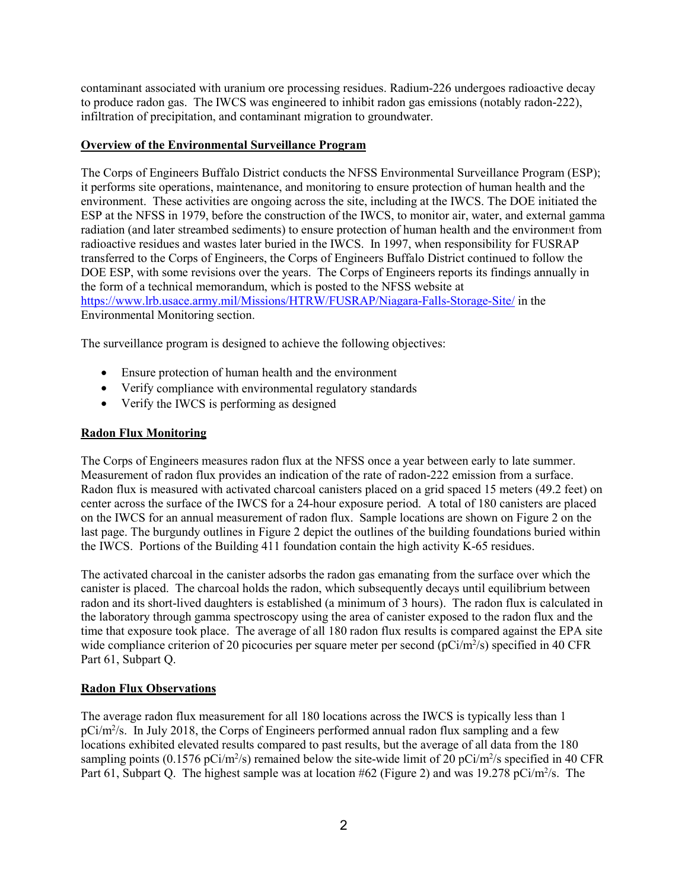contaminant associated with uranium ore processing residues. Radium-226 undergoes radioactive decay to produce radon gas. The IWCS was engineered to inhibit radon gas emissions (notably radon-222), infiltration of precipitation, and contaminant migration to groundwater.

### **Overview of the Environmental Surveillance Program**

The Corps of Engineers Buffalo District conducts the NFSS Environmental Surveillance Program (ESP); it performs site operations, maintenance, and monitoring to ensure protection of human health and the environment. These activities are ongoing across the site, including at the IWCS. The DOE initiated the ESP at the NFSS in 1979, before the construction of the IWCS, to monitor air, water, and external gamma radiation (and later streambed sediments) to ensure protection of human health and the environment from radioactive residues and wastes later buried in the IWCS. In 1997, when responsibility for FUSRAP transferred to the Corps of Engineers, the Corps of Engineers Buffalo District continued to follow the DOE ESP, with some revisions over the years. The Corps of Engineers reports its findings annually in the form of a technical memorandum, which is posted to the NFSS website at <https://www.lrb.usace.army.mil/Missions/HTRW/FUSRAP/Niagara-Falls-Storage-Site/> in the Environmental Monitoring section.

The surveillance program is designed to achieve the following objectives:

- Ensure protection of human health and the environment
- Verify compliance with environmental regulatory standards
- Verify the IWCS is performing as designed

#### **Radon Flux Monitoring**

The Corps of Engineers measures radon flux at the NFSS once a year between early to late summer. Measurement of radon flux provides an indication of the rate of radon-222 emission from a surface. Radon flux is measured with activated charcoal canisters placed on a grid spaced 15 meters (49.2 feet) on center across the surface of the IWCS for a 24-hour exposure period. A total of 180 canisters are placed on the IWCS for an annual measurement of radon flux. Sample locations are shown on Figure 2 on the last page. The burgundy outlines in Figure 2 depict the outlines of the building foundations buried within the IWCS. Portions of the Building 411 foundation contain the high activity K-65 residues.

The activated charcoal in the canister adsorbs the radon gas emanating from the surface over which the canister is placed. The charcoal holds the radon, which subsequently decays until equilibrium between radon and its short-lived daughters is established (a minimum of 3 hours). The radon flux is calculated in the laboratory through gamma spectroscopy using the area of canister exposed to the radon flux and the time that exposure took place. The average of all 180 radon flux results is compared against the EPA site wide compliance criterion of 20 picocuries per square meter per second ( $pCi/m^2/s$ ) specified in 40 CFR Part 61, Subpart Q.

### **Radon Flux Observations**

The average radon flux measurement for all 180 locations across the IWCS is typically less than 1 pCi/m<sup>2</sup>/s. In July 2018, the Corps of Engineers performed annual radon flux sampling and a few locations exhibited elevated results compared to past results, but the average of all data from the 180 sampling points (0.1576 pCi/m<sup>2</sup>/s) remained below the site-wide limit of 20 pCi/m<sup>2</sup>/s specified in 40 CFR Part 61, Subpart Q. The highest sample was at location #62 (Figure 2) and was 19.278 pCi/m<sup>2</sup>/s. The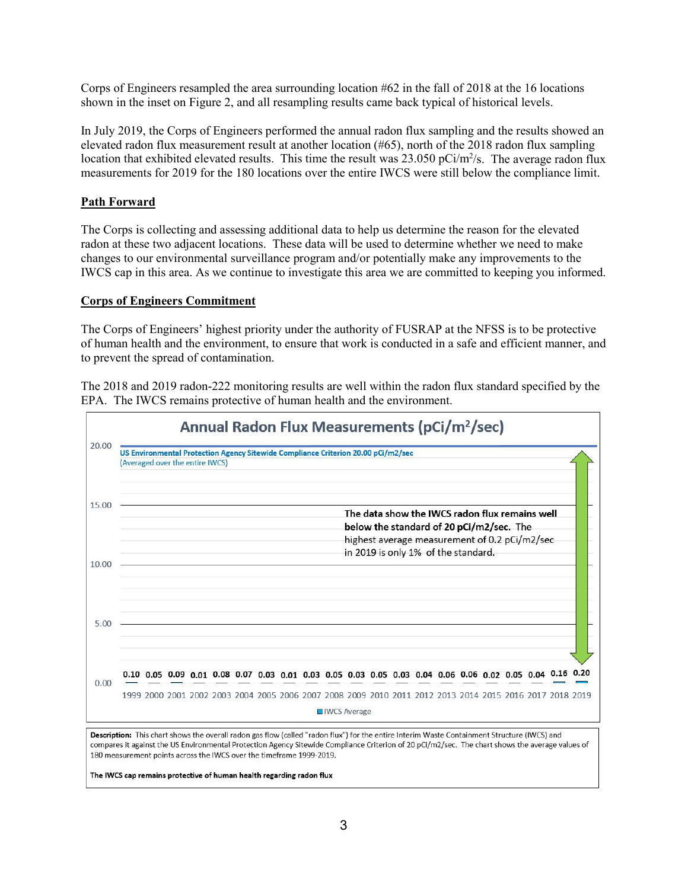Corps of Engineers resampled the area surrounding location #62 in the fall of 2018 at the 16 locations shown in the inset on Figure 2, and all resampling results came back typical of historical levels.

In July 2019, the Corps of Engineers performed the annual radon flux sampling and the results showed an elevated radon flux measurement result at another location (#65), north of the 2018 radon flux sampling location that exhibited elevated results. This time the result was  $23.050$  pCi/m<sup>2</sup>/s. The average radon flux measurements for 2019 for the 180 locations over the entire IWCS were still below the compliance limit.

#### **Path Forward**

The Corps is collecting and assessing additional data to help us determine the reason for the elevated radon at these two adjacent locations. These data will be used to determine whether we need to make changes to our environmental surveillance program and/or potentially make any improvements to the IWCS cap in this area. As we continue to investigate this area we are committed to keeping you informed.

#### **Corps of Engineers Commitment**

The Corps of Engineers' highest priority under the authority of FUSRAP at the NFSS is to be protective of human health and the environment, to ensure that work is conducted in a safe and efficient manner, and to prevent the spread of contamination.

The 2018 and 2019 radon-222 monitoring results are well within the radon flux standard specified by the EPA. The IWCS remains protective of human health and the environment.

|       | Annual Radon Flux Measurements (pCi/m <sup>2</sup> /sec)                                                                                                                                                                                                                                                                                                                                                                                         |
|-------|--------------------------------------------------------------------------------------------------------------------------------------------------------------------------------------------------------------------------------------------------------------------------------------------------------------------------------------------------------------------------------------------------------------------------------------------------|
| 20.00 | US Environmental Protection Agency Sitewide Compliance Criterion 20.00 pCi/m2/sec<br>(Averaged over the entire IWCS)                                                                                                                                                                                                                                                                                                                             |
| 15.00 | The data show the IWCS radon flux remains well<br>below the standard of 20 pCi/m2/sec. The<br>highest average measurement of 0.2 pCi/m2/sec<br>in 2019 is only 1% of the standard.                                                                                                                                                                                                                                                               |
| 10.00 |                                                                                                                                                                                                                                                                                                                                                                                                                                                  |
| 5.00  |                                                                                                                                                                                                                                                                                                                                                                                                                                                  |
| 0.00  | 0.10 0.05 0.09 0.01 0.08 0.07 0.03 0.01 0.03 0.05 0.03 0.05 0.03 0.04 0.06 0.06 0.02 0.05 0.04 0.16 0.20                                                                                                                                                                                                                                                                                                                                         |
|       | 1999 2000 2001 2002 2003 2004 2005 2006 2007 2008 2009 2010 2011 2012 2013 2014 2015 2016 2017 2018 2019<br><b>□</b> IWCS Average                                                                                                                                                                                                                                                                                                                |
|       | Description: This chart shows the overall radon gas flow (called "radon flux") for the entire Interim Waste Containment Structure (IWCS) and<br>compares it against the US Environmental Protection Agency Sitewide Compliance Criterion of 20 pCi/m2/sec. The chart shows the average values of<br>180 measurement points across the IWCS over the timeframe 1999-2019.<br>The IWCS cap remains protective of human health regarding radon flux |